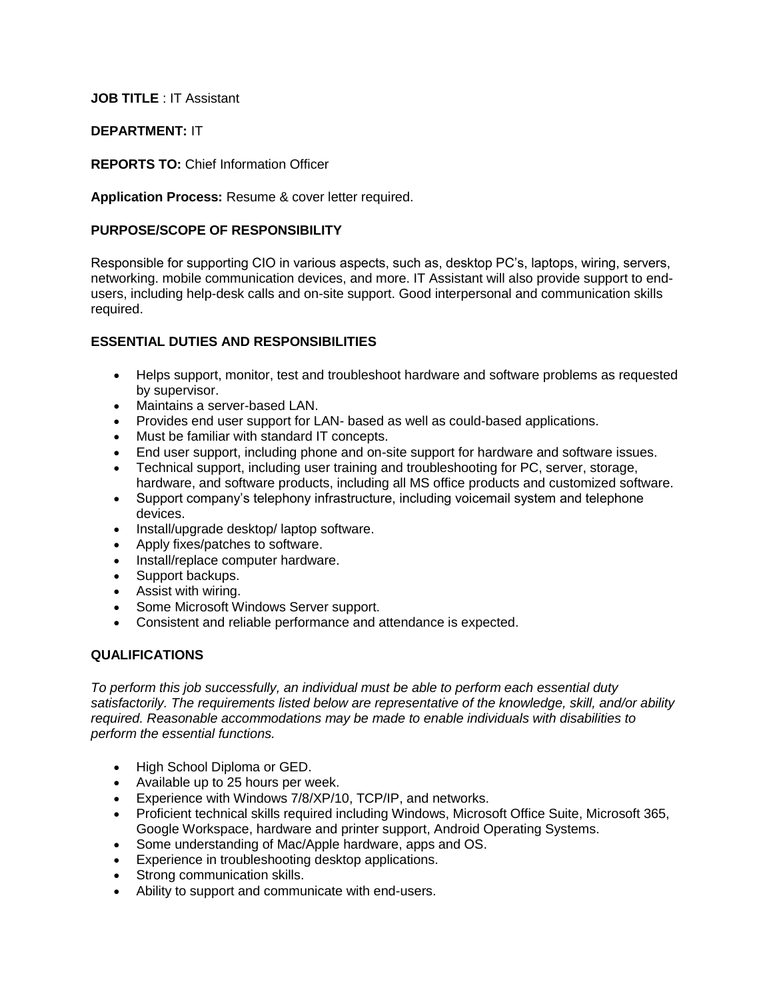### **JOB TITLE** : IT Assistant

## **DEPARTMENT:** IT

### **REPORTS TO:** Chief Information Officer

### **Application Process:** Resume & cover letter required.

### **PURPOSE/SCOPE OF RESPONSIBILITY**

Responsible for supporting CIO in various aspects, such as, desktop PC's, laptops, wiring, servers, networking. mobile communication devices, and more. IT Assistant will also provide support to endusers, including help-desk calls and on-site support. Good interpersonal and communication skills required.

## **ESSENTIAL DUTIES AND RESPONSIBILITIES**

- Helps support, monitor, test and troubleshoot hardware and software problems as requested by supervisor.
- Maintains a server-based LAN.
- Provides end user support for LAN- based as well as could-based applications.
- Must be familiar with standard IT concepts.
- End user support, including phone and on-site support for hardware and software issues.
- Technical support, including user training and troubleshooting for PC, server, storage, hardware, and software products, including all MS office products and customized software.
- Support company's telephony infrastructure, including voicemail system and telephone devices.
- Install/upgrade desktop/ laptop software.
- Apply fixes/patches to software.
- Install/replace computer hardware.
- Support backups.
- Assist with wiring.
- Some Microsoft Windows Server support.
- Consistent and reliable performance and attendance is expected.

# **QUALIFICATIONS**

*To perform this job successfully, an individual must be able to perform each essential duty satisfactorily. The requirements listed below are representative of the knowledge, skill, and/or ability required. Reasonable accommodations may be made to enable individuals with disabilities to perform the essential functions.*

- High School Diploma or GED.
- Available up to 25 hours per week.
- Experience with Windows 7/8/XP/10, TCP/IP, and networks.
- Proficient technical skills required including Windows, Microsoft Office Suite, Microsoft 365, Google Workspace, hardware and printer support, Android Operating Systems.
- Some understanding of Mac/Apple hardware, apps and OS.
- Experience in troubleshooting desktop applications.
- Strong communication skills.
- Ability to support and communicate with end-users.